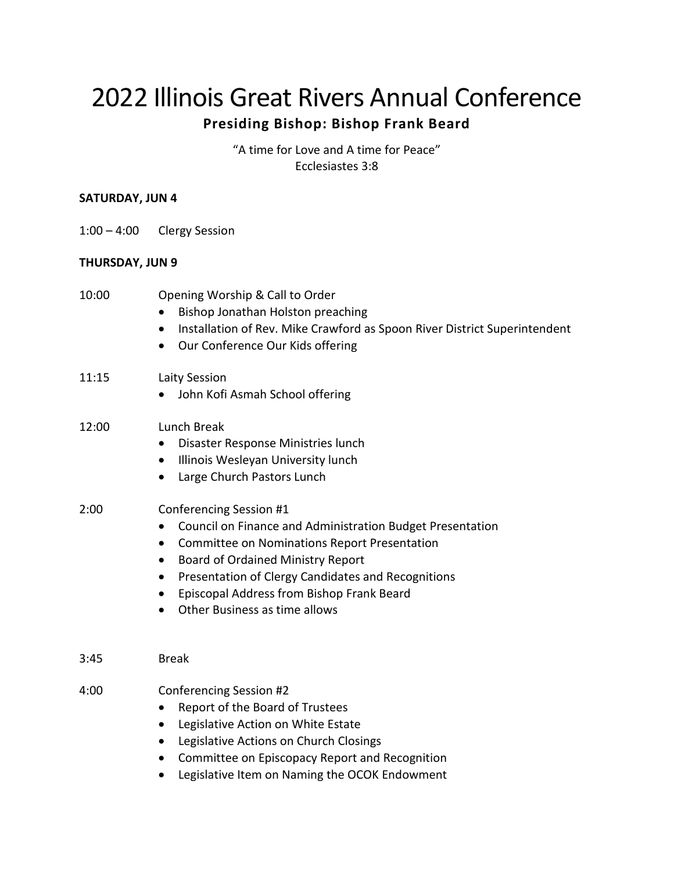# 2022 Illinois Great Rivers Annual Conference

# **Presiding Bishop: Bishop Frank Beard**

"A time for Love and A time for Peace" Ecclesiastes 3:8

#### **SATURDAY, JUN 4**

1:00 – 4:00 Clergy Session

## **THURSDAY, JUN 9**

| 10:00 | Opening Worship & Call to Order<br>Bishop Jonathan Holston preaching<br>$\bullet$<br>Installation of Rev. Mike Crawford as Spoon River District Superintendent<br>$\bullet$<br>Our Conference Our Kids offering<br>$\bullet$                                                                                                                                            |
|-------|-------------------------------------------------------------------------------------------------------------------------------------------------------------------------------------------------------------------------------------------------------------------------------------------------------------------------------------------------------------------------|
| 11:15 | Laity Session<br>John Kofi Asmah School offering                                                                                                                                                                                                                                                                                                                        |
| 12:00 | Lunch Break<br>Disaster Response Ministries lunch<br>Illinois Wesleyan University lunch<br>$\bullet$<br>Large Church Pastors Lunch<br>$\bullet$                                                                                                                                                                                                                         |
| 2:00  | Conferencing Session #1<br>Council on Finance and Administration Budget Presentation<br>$\bullet$<br><b>Committee on Nominations Report Presentation</b><br>$\bullet$<br><b>Board of Ordained Ministry Report</b><br>٠<br>Presentation of Clergy Candidates and Recognitions<br>Episcopal Address from Bishop Frank Beard<br>$\bullet$<br>Other Business as time allows |
| 3:45  | <b>Break</b>                                                                                                                                                                                                                                                                                                                                                            |
| 4:00  | Conferencing Session #2<br>Report of the Board of Trustees<br>$\bullet$<br>Legislative Action on White Estate<br>$\bullet$<br>Legislative Actions on Church Closings<br>$\bullet$<br>Committee on Episcopacy Report and Recognition<br>$\bullet$<br>Legislative Item on Naming the OCOK Endowment                                                                       |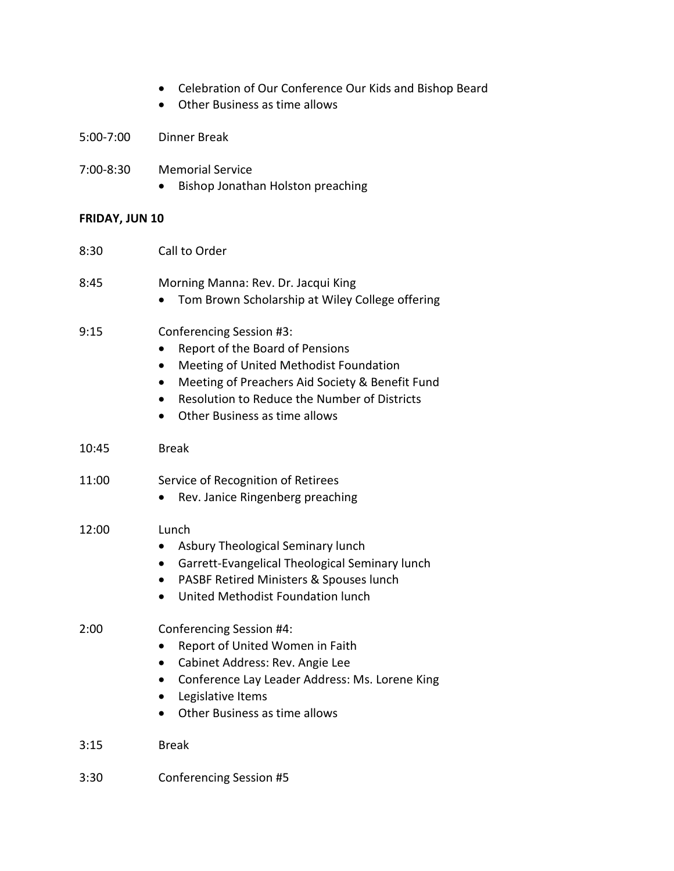- Celebration of Our Conference Our Kids and Bishop Beard
- Other Business as time allows

5:00-7:00 Dinner Break

- 7:00-8:30 Memorial Service
	- Bishop Jonathan Holston preaching

### **FRIDAY, JUN 10**

| 8:30  | Call to Order                                                                                                                                                                                                                             |
|-------|-------------------------------------------------------------------------------------------------------------------------------------------------------------------------------------------------------------------------------------------|
| 8:45  | Morning Manna: Rev. Dr. Jacqui King<br>Tom Brown Scholarship at Wiley College offering                                                                                                                                                    |
| 9:15  | Conferencing Session #3:<br>Report of the Board of Pensions<br>Meeting of United Methodist Foundation<br>Meeting of Preachers Aid Society & Benefit Fund<br>Resolution to Reduce the Number of Districts<br>Other Business as time allows |
| 10:45 | <b>Break</b>                                                                                                                                                                                                                              |
| 11:00 | Service of Recognition of Retirees<br>Rev. Janice Ringenberg preaching                                                                                                                                                                    |
| 12:00 | Lunch<br>Asbury Theological Seminary lunch<br>Garrett-Evangelical Theological Seminary lunch<br>PASBF Retired Ministers & Spouses lunch<br>$\bullet$<br>United Methodist Foundation lunch                                                 |
| 2:00  | Conferencing Session #4:<br>Report of United Women in Faith<br>Cabinet Address: Rev. Angie Lee<br>Conference Lay Leader Address: Ms. Lorene King<br>Legislative Items<br>$\bullet$<br>Other Business as time allows<br>$\bullet$          |
| 3:15  | <b>Break</b>                                                                                                                                                                                                                              |
| 3:30  | <b>Conferencing Session #5</b>                                                                                                                                                                                                            |